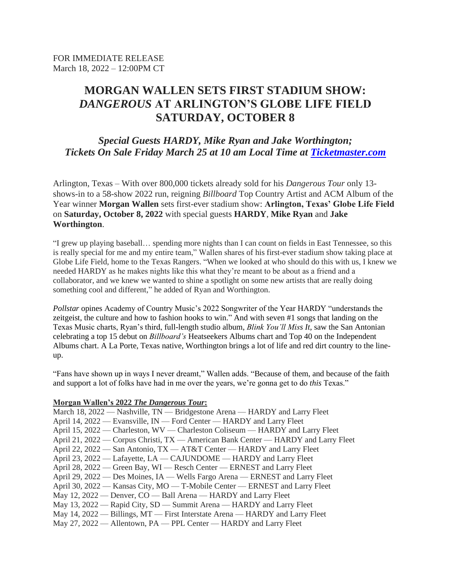# **MORGAN WALLEN SETS FIRST STADIUM SHOW:**  *DANGEROUS* **AT ARLINGTON'S GLOBE LIFE FIELD SATURDAY, OCTOBER 8**

# *Special Guests HARDY, Mike Ryan and Jake Worthington; Tickets On Sale Friday March 25 at 10 am Local Time at [Ticketmaster.com](https://www.ticketmaster.com/event/0C005C708EF1233D?camefrom=LN_SOUTH_LNSM_100822MW_PR)*

Arlington, Texas – With over 800,000 tickets already sold for his *Dangerous Tour* only 13 shows-in to a 58-show 2022 run, reigning *Billboard* Top Country Artist and ACM Album of the Year winner **Morgan Wallen** sets first-ever stadium show: **Arlington, Texas' Globe Life Field**  on **Saturday, October 8, 2022** with special guests **HARDY**, **Mike Ryan** and **Jake Worthington**.

"I grew up playing baseball… spending more nights than I can count on fields in East Tennessee, so this is really special for me and my entire team," Wallen shares of his first-ever stadium show taking place at Globe Life Field, home to the Texas Rangers. "When we looked at who should do this with us, I knew we needed HARDY as he makes nights like this what they're meant to be about as a friend and a collaborator, and we knew we wanted to shine a spotlight on some new artists that are really doing something cool and different," he added of Ryan and Worthington.

*Pollstar* opines Academy of Country Music's 2022 Songwriter of the Year HARDY "understands the zeitgeist, the culture and how to fashion hooks to win." And with seven #1 songs that landing on the Texas Music charts, Ryan's third, full-length studio album, *Blink You'll Miss It,* saw the San Antonian celebrating a top 15 debut on *Billboard's* Heatseekers Albums chart and Top 40 on the Independent Albums chart. A La Porte, Texas native, Worthington brings a lot of life and red dirt country to the lineup.

"Fans have shown up in ways I never dreamt," Wallen adds. "Because of them, and because of the faith and support a lot of folks have had in me over the years, we're gonna get to do *this* Texas."

#### **Morgan Wallen's 2022** *The Dangerous Tour***:**

| March 18, 2022 — Nashville, TN — Bridgestone Arena — HARDY and Larry Fleet         |
|------------------------------------------------------------------------------------|
| April 14, 2022 — Evansville, IN — Ford Center — HARDY and Larry Fleet              |
| April 15, 2022 — Charleston, WV — Charleston Coliseum — HARDY and Larry Fleet      |
| April 21, 2022 — Corpus Christi, TX — American Bank Center — HARDY and Larry Fleet |
| April 22, 2022 – San Antonio, TX – AT&T Center – HARDY and Larry Fleet             |
| April 23, 2022 - Lafayette, LA - CAJUNDOME - HARDY and Larry Fleet                 |
| April 28, 2022 — Green Bay, WI — Resch Center — ERNEST and Larry Fleet             |
| April 29, 2022 — Des Moines, IA — Wells Fargo Arena — ERNEST and Larry Fleet       |
| April 30, 2022 — Kansas City, MO — T-Mobile Center — ERNEST and Larry Fleet        |
| May 12, 2022 — Denver, CO — Ball Arena — HARDY and Larry Fleet                     |
| May 13, 2022 — Rapid City, SD — Summit Arena — HARDY and Larry Fleet               |
| May 14, 2022 — Billings, MT — First Interstate Arena — HARDY and Larry Fleet       |
| May 27, 2022 — Allentown, PA — PPL Center — HARDY and Larry Fleet                  |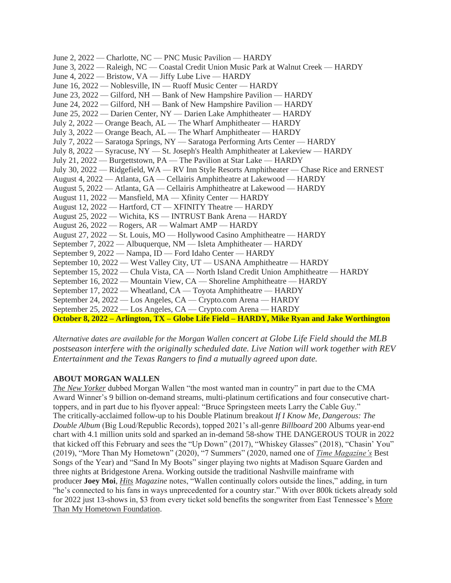| June 2, 2022 — Charlotte, NC — PNC Music Pavilion — HARDY                                  |
|--------------------------------------------------------------------------------------------|
| June 3, 2022 — Raleigh, NC — Coastal Credit Union Music Park at Walnut Creek — HARDY       |
| June 4, 2022 — Bristow, VA — Jiffy Lube Live — HARDY                                       |
| June 16, 2022 — Noblesville, IN — Ruoff Music Center — HARDY                               |
| June 23, 2022 — Gilford, NH — Bank of New Hampshire Pavilion — HARDY                       |
| June 24, 2022 — Gilford, NH — Bank of New Hampshire Pavilion — HARDY                       |
| June 25, 2022 — Darien Center, NY — Darien Lake Amphitheater — HARDY                       |
| July 2, 2022 — Orange Beach, AL — The Wharf Amphitheater — HARDY                           |
| July 3, 2022 — Orange Beach, AL — The Wharf Amphitheater — HARDY                           |
| July 7, 2022 — Saratoga Springs, NY — Saratoga Performing Arts Center — HARDY              |
| July 8, 2022 — Syracuse, NY — St. Joseph's Health Amphitheater at Lakeview — HARDY         |
| July 21, 2022 — Burgettstown, PA — The Pavilion at Star Lake — HARDY                       |
| July 30, 2022 — Ridgefield, WA — RV Inn Style Resorts Amphitheater — Chase Rice and ERNEST |
| August 4, 2022 — Atlanta, GA — Cellairis Amphitheatre at Lakewood — HARDY                  |
| August 5, 2022 — Atlanta, GA — Cellairis Amphitheatre at Lakewood — HARDY                  |
| August 11, 2022 — Mansfield, MA — Xfinity Center — HARDY                                   |
| August 12, 2022 - Hartford, CT - XFINITY Theatre - HARDY                                   |
| August 25, 2022 — Wichita, KS — INTRUST Bank Arena — HARDY                                 |
| August 26, 2022 — Rogers, AR — Walmart AMP — HARDY                                         |
| August 27, 2022 — St. Louis, MO — Hollywood Casino Amphitheatre — HARDY                    |
| September 7, 2022 — Albuquerque, NM — Isleta Amphitheater — HARDY                          |
| September 9, 2022 — Nampa, ID — Ford Idaho Center — HARDY                                  |
| September 10, 2022 — West Valley City, UT — USANA Amphitheatre — HARDY                     |
| September 15, 2022 — Chula Vista, CA — North Island Credit Union Amphitheatre — HARDY      |
| September 16, 2022 — Mountain View, CA — Shoreline Amphitheatre — HARDY                    |
| September 17, 2022 — Wheatland, CA — Toyota Amphitheatre — HARDY                           |
| September 24, 2022 — Los Angeles, CA — Crypto.com Arena — HARDY                            |
| September 25, 2022 — Los Angeles, CA — Crypto.com Arena — HARDY                            |
| October 8, 2022 – Arlington, TX – Globe Life Field – HARDY, Mike Ryan and Jake Worthington |

*Alternative dates are available for the Morgan Wallen concert at Globe Life Field should the MLB postseason interfere with the originally scheduled date. Live Nation will work together with REV Entertainment and the Texas Rangers to find a mutually agreed upon date.*

#### **ABOUT MORGAN WALLEN**

*[The New Yorker](https://ebmediapr.us10.list-manage.com/track/click?u=8c2b6ee37a9e18082133cda47&id=e5fd70695f&e=9285da6a3a)* dubbed Morgan Wallen "the most wanted man in country" in part due to the CMA Award Winner's 9 billion on-demand streams, multi-platinum certifications and four consecutive charttoppers, and in part due to his flyover appeal: "Bruce Springsteen meets Larry the Cable Guy." The critically-acclaimed follow-up to his Double Platinum breakout *If I Know Me*, *Dangerous: The Double Album* (Big Loud/Republic Records), topped 2021's all-genre *Billboard* 200 Albums year-end chart with 4.1 million units sold and sparked an in-demand 58-show THE DANGEROUS TOUR in 2022 that kicked off this February and sees the "Up Down" (2017), "Whiskey Glasses" (2018), "Chasin' You" (2019), "More Than My Hometown" (2020), "7 Summers" (2020, named one of *[Time Magazine's](https://ebmediapr.us10.list-manage.com/track/click?u=8c2b6ee37a9e18082133cda47&id=db93dd03fb&e=9285da6a3a)* Best Songs of the Year) and "Sand In My Boots" singer playing two nights at Madison Square Garden and three nights at Bridgestone Arena. Working outside the traditional Nashville mainframe with producer **Joey Moi**, *[Hits](https://ebmediapr.us10.list-manage.com/track/click?u=8c2b6ee37a9e18082133cda47&id=2b08198e66&e=9285da6a3a) Magazine* notes, "Wallen continually colors outside the lines," adding, in turn "he's connected to his fans in ways unprecedented for a country star." With over 800k tickets already sold for 2022 just 13-shows in, \$3 from every ticket sold benefits the songwriter from East Tennessee's [More](https://ebmediapr.us10.list-manage.com/track/click?u=8c2b6ee37a9e18082133cda47&id=28bba583e4&e=9285da6a3a)  [Than My Hometown Foundation.](https://ebmediapr.us10.list-manage.com/track/click?u=8c2b6ee37a9e18082133cda47&id=28bba583e4&e=9285da6a3a)